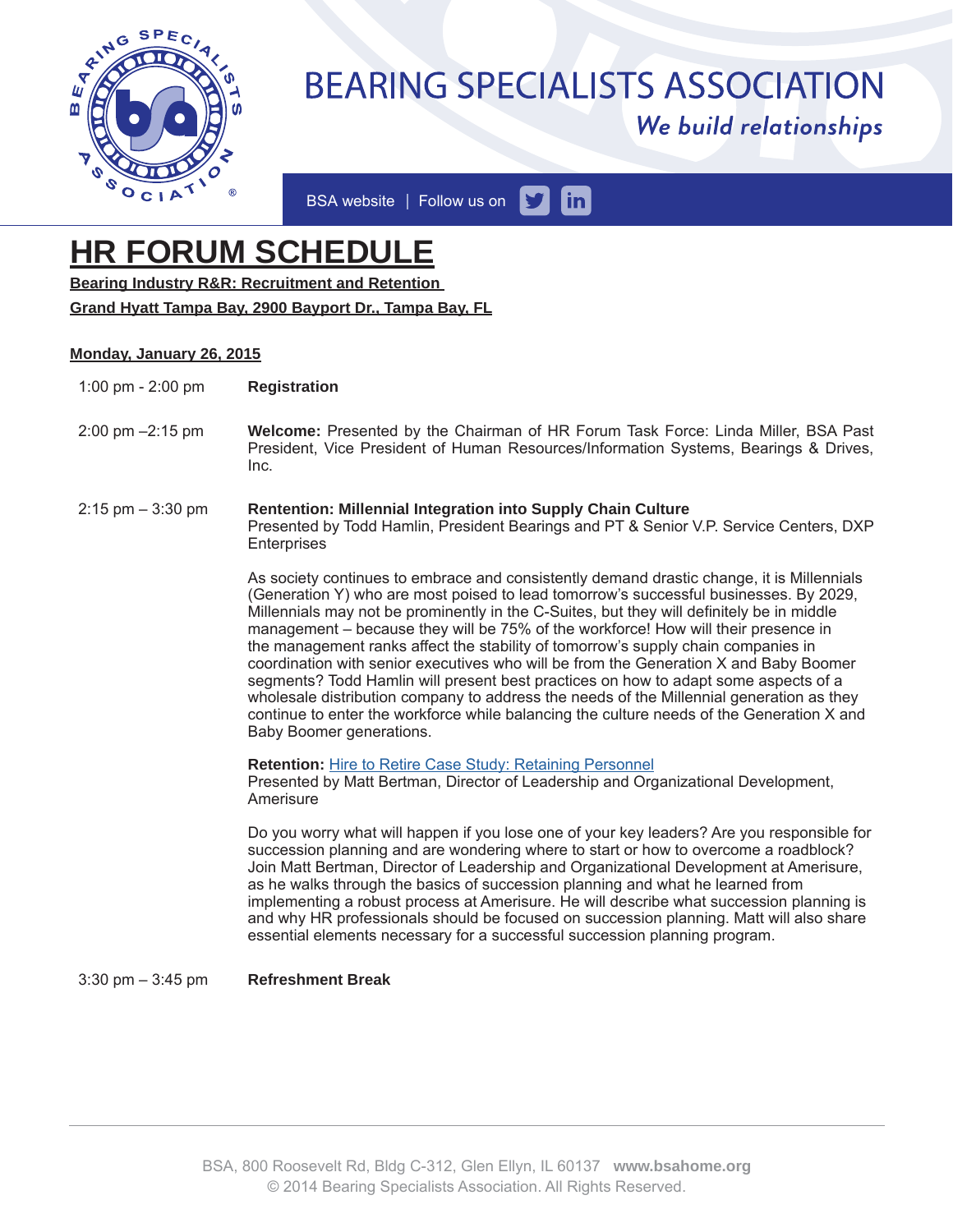

# **BEARING SPECIALISTS ASSOCIATION** We build relationships

 $\mathsf{in}$ BSA website | Follow us on

## **HR FORUM SCHEDULE**

**Bearing Industry R&R: Recruitment and Retention** 

**Grand Hyatt Tampa Bay, 2900 Bayport Dr., Tampa Bay, FL**

### **Monday, January 26, 2015**

- 1:00 pm 2:00 pm **Registration**
- 2:00 pm –2:15 pm **Welcome:** Presented by the Chairman of HR Forum Task Force: Linda Miller, BSA Past President, Vice President of Human Resources/Information Systems, Bearings & Drives, Inc.
- 2:15 pm 3:30 pm **Rentention: Millennial Integration into Supply Chain Culture** Presented by Todd Hamlin, President Bearings and PT & Senior V.P. Service Centers, DXP **Enterprises**

As society continues to embrace and consistently demand drastic change, it is Millennials (Generation Y) who are most poised to lead tomorrow's successful businesses. By 2029, Millennials may not be prominently in the C-Suites, but they will definitely be in middle management – because they will be 75% of the workforce! How will their presence in the management ranks affect the stability of tomorrow's supply chain companies in coordination with senior executives who will be from the Generation X and Baby Boomer segments? Todd Hamlin will present best practices on how to adapt some aspects of a wholesale distribution company to address the needs of the Millennial generation as they continue to enter the workforce while balancing the culture needs of the Generation X and Baby Boomer generations.

**Retention:** Hire to Retire Case Study: Retaining Personnel

Presented by Matt Bertman, Director of Leadership and Organizational Development, Amerisure

Do you worry what will happen if you lose one of your key leaders? Are you responsible for succession planning and are wondering where to start or how to overcome a roadblock? Join Matt Bertman, Director of Leadership and Organizational Development at Amerisure, as he walks through the basics of succession planning and what he learned from implementing a robust process at Amerisure. He will describe what succession planning is and why HR professionals should be focused on succession planning. Matt will also share essential elements necessary for a successful succession planning program.

3:30 pm – 3:45 pm **Refreshment Break**